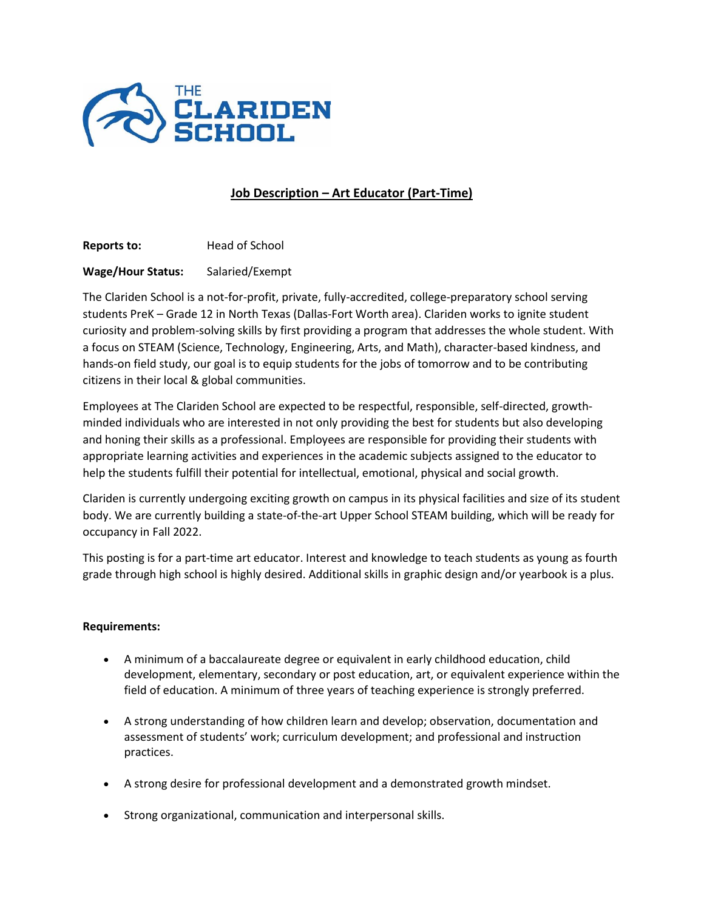

## **Job Description – Art Educator (Part-Time)**

**Reports to: Head of School** 

## **Wage/Hour Status:** Salaried/Exempt

The Clariden School is a not-for-profit, private, fully-accredited, college-preparatory school serving students PreK – Grade 12 in North Texas (Dallas-Fort Worth area). Clariden works to ignite student curiosity and problem-solving skills by first providing a program that addresses the whole student. With a focus on STEAM (Science, Technology, Engineering, Arts, and Math), character-based kindness, and hands-on field study, our goal is to equip students for the jobs of tomorrow and to be contributing citizens in their local & global communities.

Employees at The Clariden School are expected to be respectful, responsible, self-directed, growthminded individuals who are interested in not only providing the best for students but also developing and honing their skills as a professional. Employees are responsible for providing their students with appropriate learning activities and experiences in the academic subjects assigned to the educator to help the students fulfill their potential for intellectual, emotional, physical and social growth.

Clariden is currently undergoing exciting growth on campus in its physical facilities and size of its student body. We are currently building a state-of-the-art Upper School STEAM building, which will be ready for occupancy in Fall 2022.

This posting is for a part-time art educator. Interest and knowledge to teach students as young as fourth grade through high school is highly desired. Additional skills in graphic design and/or yearbook is a plus.

## **Requirements:**

- A minimum of a baccalaureate degree or equivalent in early childhood education, child development, elementary, secondary or post education, art, or equivalent experience within the field of education. A minimum of three years of teaching experience is strongly preferred.
- A strong understanding of how children learn and develop; observation, documentation and assessment of students' work; curriculum development; and professional and instruction practices.
- A strong desire for professional development and a demonstrated growth mindset.
- Strong organizational, communication and interpersonal skills.